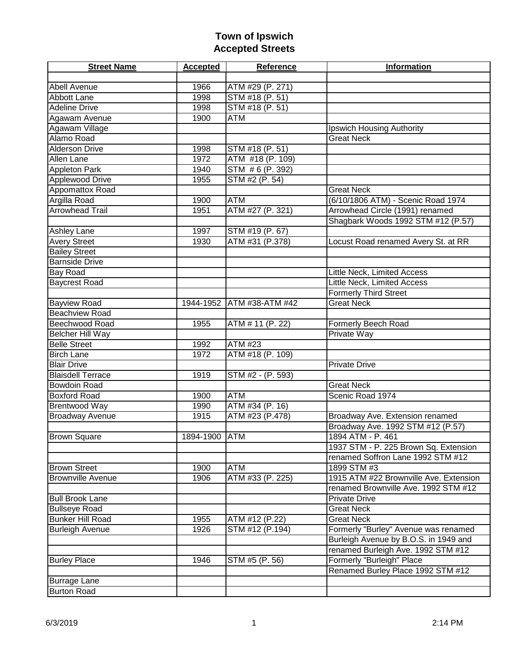| <b>Street Name</b>       | <b>Accepted</b> | Reference                 | <b>Information</b>                     |
|--------------------------|-----------------|---------------------------|----------------------------------------|
|                          |                 |                           |                                        |
| <b>Abell Avenue</b>      | 1966            | ATM #29 (P. 271)          |                                        |
| Abbott Lane              | 1998            | STM #18 (P. 51)           |                                        |
| <b>Adeline Drive</b>     | 1998            | STM #18 (P. 51)           |                                        |
| Agawam Avenue            | 1900            | <b>ATM</b>                |                                        |
| Agawam Village           |                 |                           | Ipswich Housing Authority              |
| Alamo Road               |                 |                           | <b>Great Neck</b>                      |
| <b>Alderson Drive</b>    | 1998            | STM #18 (P. 51)           |                                        |
| <b>Allen Lane</b>        | 1972            | ATM #18 (P. 109)          |                                        |
| <b>Appleton Park</b>     | 1940            | STM #6 (P. 392)           |                                        |
| <b>Applewood Drive</b>   | 1955            | STM #2 (P. 54)            |                                        |
| Appomattox Road          |                 |                           | <b>Great Neck</b>                      |
| Argilla Road             | 1900            | <b>ATM</b>                | (6/10/1806 ATM) - Scenic Road 1974     |
| <b>Arrowhead Trail</b>   | 1951            | ATM #27 (P. 321)          | Arrowhead Circle (1991) renamed        |
|                          |                 |                           | Shagbark Woods 1992 STM #12 (P.57)     |
| <b>Ashley Lane</b>       | 1997            | STM #19 (P. 67)           |                                        |
| <b>Avery Street</b>      | 1930            | ATM #31 (P.378)           | Locust Road renamed Avery St. at RR    |
| <b>Bailey Street</b>     |                 |                           |                                        |
| <b>Barnside Drive</b>    |                 |                           |                                        |
| Bay Road                 |                 |                           | Little Neck, Limited Access            |
| <b>Baycrest Road</b>     |                 |                           | Little Neck, Limited Access            |
|                          |                 |                           | <b>Formerly Third Street</b>           |
| <b>Bayview Road</b>      |                 | 1944-1952 ATM #38-ATM #42 | <b>Great Neck</b>                      |
| <b>Beachview Road</b>    |                 |                           |                                        |
| Beechwood Road           | 1955            | ATM # 11 (P. 22)          | Formerly Beech Road                    |
| <b>Belcher Hill Way</b>  |                 |                           | Private Way                            |
| <b>Belle Street</b>      | 1992            | ATM #23                   |                                        |
| <b>Birch Lane</b>        | 1972            | ATM #18 (P. 109)          |                                        |
| <b>Blair Drive</b>       |                 |                           | <b>Private Drive</b>                   |
| <b>Blaisdell Terrace</b> | 1919            | STM #2 - (P. 593)         |                                        |
| <b>Bowdoin Road</b>      |                 |                           | <b>Great Neck</b>                      |
| <b>Boxford Road</b>      | 1900            | <b>ATM</b>                | Scenic Road 1974                       |
| <b>Brentwood Way</b>     | 1990            | ATM #34 (P. 16)           |                                        |
| <b>Broadway Avenue</b>   | 1915            | ATM #23 (P.478)           | Broadway Ave. Extension renamed        |
|                          |                 |                           | Broadway Ave. 1992 STM #12 (P.57)      |
| <b>Brown Square</b>      | 1894-1900 ATM   |                           | 1894 ATM - P. 461                      |
|                          |                 |                           | 1937 STM - P. 225 Brown Sq. Extension  |
|                          |                 |                           | renamed Soffron Lane 1992 STM #12      |
| <b>Brown Street</b>      | 1900            | <b>ATM</b>                | 1899 STM #3                            |
| <b>Brownville Avenue</b> | 1906            | ATM #33 (P. 225)          | 1915 ATM #22 Brownville Ave. Extension |
|                          |                 |                           | renamed Brownville Ave. 1992 STM #12   |
| <b>Bull Brook Lane</b>   |                 |                           | <b>Private Drive</b>                   |
| <b>Bullseye Road</b>     |                 |                           | <b>Great Neck</b>                      |
| <b>Bunker Hill Road</b>  | 1955            | ATM #12 (P.22)            | <b>Great Neck</b>                      |
| <b>Burleigh Avenue</b>   | 1926            | STM #12 (P.194)           | Formerly "Burley" Avenue was renamed   |
|                          |                 |                           | Burleigh Avenue by B.O.S. in 1949 and  |
|                          |                 |                           | renamed Burleigh Ave. 1992 STM #12     |
| <b>Burley Place</b>      | 1946            | STM #5 (P. 56)            | Formerly "Burleigh" Place              |
|                          |                 |                           | Renamed Burley Place 1992 STM #12      |
| <b>Burrage Lane</b>      |                 |                           |                                        |
| <b>Burton Road</b>       |                 |                           |                                        |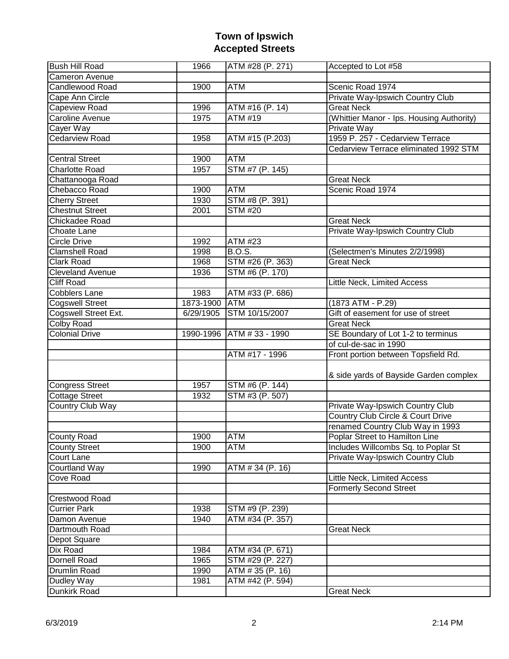| <b>Bush Hill Road</b>   | 1966          | ATM #28 (P. 271)          | Accepted to Lot #58                       |
|-------------------------|---------------|---------------------------|-------------------------------------------|
| <b>Cameron Avenue</b>   |               |                           |                                           |
| <b>Candlewood Road</b>  | 1900          | <b>ATM</b>                | Scenic Road 1974                          |
| Cape Ann Circle         |               |                           | Private Way-Ipswich Country Club          |
| <b>Capeview Road</b>    | 1996          | ATM #16 (P. 14)           | <b>Great Neck</b>                         |
| Caroline Avenue         | 1975          | <b>ATM #19</b>            | (Whittier Manor - Ips. Housing Authority) |
| Cayer Way               |               |                           | <b>Private Way</b>                        |
| <b>Cedarview Road</b>   | 1958          | ATM #15 (P.203)           | 1959 P. 257 - Cedarview Terrace           |
|                         |               |                           | Cedarview Terrace eliminated 1992 STM     |
| <b>Central Street</b>   | 1900          | <b>ATM</b>                |                                           |
| <b>Charlotte Road</b>   | 1957          | STM #7 (P. 145)           |                                           |
| Chattanooga Road        |               |                           | <b>Great Neck</b>                         |
| Chebacco Road           | 1900          | <b>ATM</b>                | Scenic Road 1974                          |
| <b>Cherry Street</b>    | 1930          | STM #8 (P. 391)           |                                           |
| <b>Chestnut Street</b>  | 2001          | STM#20                    |                                           |
| <b>Chickadee Road</b>   |               |                           | <b>Great Neck</b>                         |
| Choate Lane             |               |                           | Private Way-Ipswich Country Club          |
| <b>Circle Drive</b>     | 1992          | <b>ATM #23</b>            |                                           |
| <b>Clamshell Road</b>   | 1998          | <b>B.O.S.</b>             | (Selectmen's Minutes 2/2/1998)            |
| Clark Road              | 1968          | STM #26 (P. 363)          | <b>Great Neck</b>                         |
| <b>Cleveland Avenue</b> | 1936          | STM #6 (P. 170)           |                                           |
| <b>Cliff Road</b>       |               |                           | Little Neck, Limited Access               |
| <b>Cobblers Lane</b>    | 1983          | ATM #33 (P. 686)          |                                           |
| <b>Cogswell Street</b>  | 1873-1900 ATM |                           | (1873 ATM - P.29)                         |
| Cogswell Street Ext.    | 6/29/1905     | STM 10/15/2007            | Gift of easement for use of street        |
| <b>Colby Road</b>       |               |                           | <b>Great Neck</b>                         |
| <b>Colonial Drive</b>   |               | 1990-1996 ATM # 33 - 1990 | SE Boundary of Lot 1-2 to terminus        |
|                         |               |                           | of cul-de-sac in 1990                     |
|                         |               | ATM #17 - 1996            | Front portion between Topsfield Rd.       |
|                         |               |                           |                                           |
|                         |               |                           | & side yards of Bayside Garden complex    |
| <b>Congress Street</b>  | 1957          | STM #6 (P. 144)           |                                           |
| <b>Cottage Street</b>   | 1932          | STM #3 (P. 507)           |                                           |
| Country Club Way        |               |                           | Private Way-Ipswich Country Club          |
|                         |               |                           | Country Club Circle & Court Drive         |
|                         |               |                           | renamed Country Club Way in 1993          |
| <b>County Road</b>      | 1900          | <b>ATM</b>                | Poplar Street to Hamilton Line            |
| <b>County Street</b>    | 1900          | <b>ATM</b>                | Includes Willcombs Sq. to Poplar St       |
| Court Lane              |               |                           | Private Way-Ipswich Country Club          |
| Courtland Way           | 1990          | ATM # 34 (P. 16)          |                                           |
| Cove Road               |               |                           | Little Neck, Limited Access               |
|                         |               |                           | <b>Formerly Second Street</b>             |
| Crestwood Road          |               |                           |                                           |
| <b>Currier Park</b>     | 1938          | STM #9 (P. 239)           |                                           |
| Damon Avenue            | 1940          | ATM #34 (P. 357)          |                                           |
| Dartmouth Road          |               |                           | <b>Great Neck</b>                         |
| Depot Square            |               |                           |                                           |
| Dix Road                | 1984          | ATM #34 (P. 671)          |                                           |
| <b>Dornell Road</b>     | 1965          | STM #29 (P. 227)          |                                           |
| Drumlin Road            | 1990          | ATM # 35 (P. 16)          |                                           |
| Dudley Way              | 1981          | ATM #42 (P. 594)          |                                           |
| Dunkirk Road            |               |                           | <b>Great Neck</b>                         |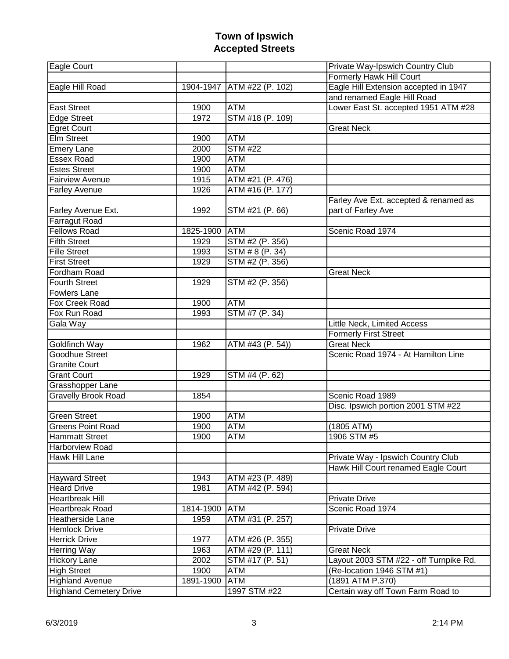| Eagle Court                    |               |                              | Private Way-Ipswich Country Club       |
|--------------------------------|---------------|------------------------------|----------------------------------------|
|                                |               |                              | Formerly Hawk Hill Court               |
| Eagle Hill Road                |               | 1904-1947   ATM #22 (P. 102) | Eagle Hill Extension accepted in 1947  |
|                                |               |                              | and renamed Eagle Hill Road            |
| <b>East Street</b>             | 1900          | <b>ATM</b>                   | Lower East St. accepted 1951 ATM #28   |
| <b>Edge Street</b>             | 1972          | STM #18 (P. 109)             |                                        |
| <b>Egret Court</b>             |               |                              | <b>Great Neck</b>                      |
| <b>Elm Street</b>              | 1900          | <b>ATM</b>                   |                                        |
| <b>Emery Lane</b>              | 2000          | <b>STM #22</b>               |                                        |
| <b>Essex Road</b>              | 1900          | <b>ATM</b>                   |                                        |
| <b>Estes Street</b>            | 1900          | <b>ATM</b>                   |                                        |
| <b>Fairview Avenue</b>         | 1915          | ATM #21 (P. 476)             |                                        |
| <b>Farley Avenue</b>           | 1926          | ATM #16 (P. 177)             |                                        |
|                                |               |                              | Farley Ave Ext. accepted & renamed as  |
| Farley Avenue Ext.             | 1992          | STM #21 (P. 66)              | part of Farley Ave                     |
| <b>Farragut Road</b>           |               |                              |                                        |
| <b>Fellows Road</b>            | 1825-1900     | <b>ATM</b>                   | Scenic Road 1974                       |
| <b>Fifth Street</b>            | 1929          | STM #2 (P. 356)              |                                        |
| <b>Fille Street</b>            | 1993          | STM # 8 (P. 34)              |                                        |
| <b>First Street</b>            | 1929          | STM #2 (P. 356)              |                                        |
| Fordham Road                   |               |                              | <b>Great Neck</b>                      |
| <b>Fourth Street</b>           | 1929          | STM #2 (P. 356)              |                                        |
| <b>Fowlers Lane</b>            |               |                              |                                        |
| Fox Creek Road                 | 1900          | <b>ATM</b>                   |                                        |
| Fox Run Road                   | 1993          | STM #7 (P. 34)               |                                        |
| Gala Way                       |               |                              | Little Neck, Limited Access            |
|                                |               |                              | <b>Formerly First Street</b>           |
| Goldfinch Way                  | 1962          | ATM #43 (P. 54))             | <b>Great Neck</b>                      |
| <b>Goodhue Street</b>          |               |                              | Scenic Road 1974 - At Hamilton Line    |
| <b>Granite Court</b>           |               |                              |                                        |
| <b>Grant Court</b>             | 1929          | STM #4 (P. 62)               |                                        |
| Grasshopper Lane               |               |                              |                                        |
| <b>Gravelly Brook Road</b>     | 1854          |                              | Scenic Road 1989                       |
|                                |               |                              | Disc. Ipswich portion 2001 STM #22     |
| <b>Green Street</b>            | 1900          | <b>ATM</b>                   |                                        |
| <b>Greens Point Road</b>       | 1900          | <b>ATM</b>                   | (1805 ATM)                             |
| <b>Hammatt Street</b>          | 1900          | ATM                          | 1906 STM #5                            |
| <b>Harborview Road</b>         |               |                              |                                        |
| <b>Hawk Hill Lane</b>          |               |                              | Private Way - Ipswich Country Club     |
|                                |               |                              | Hawk Hill Court renamed Eagle Court    |
| <b>Hayward Street</b>          | 1943          | ATM #23 (P. 489)             |                                        |
| <b>Heard Drive</b>             | 1981          | ATM #42 (P. 594)             |                                        |
| <b>Heartbreak Hill</b>         |               |                              | <b>Private Drive</b>                   |
| <b>Heartbreak Road</b>         | 1814-1900 ATM |                              | Scenic Road 1974                       |
| <b>Heatherside Lane</b>        | 1959          | ATM #31 (P. 257)             |                                        |
| <b>Hemlock Drive</b>           |               |                              | Private Drive                          |
| <b>Herrick Drive</b>           | 1977          | ATM #26 (P. 355)             |                                        |
| <b>Herring Way</b>             | 1963          | ATM #29 (P. 111)             | <b>Great Neck</b>                      |
| <b>Hickory Lane</b>            | 2002          | STM #17 (P. 51)              | Layout 2003 STM #22 - off Turnpike Rd. |
| <b>High Street</b>             | 1900          | ATM                          | (Re-location 1946 STM #1)              |
| <b>Highland Avenue</b>         | 1891-1900     | <b>ATM</b>                   | (1891 ATM P.370)                       |
| <b>Highland Cemetery Drive</b> |               | 1997 STM #22                 | Certain way off Town Farm Road to      |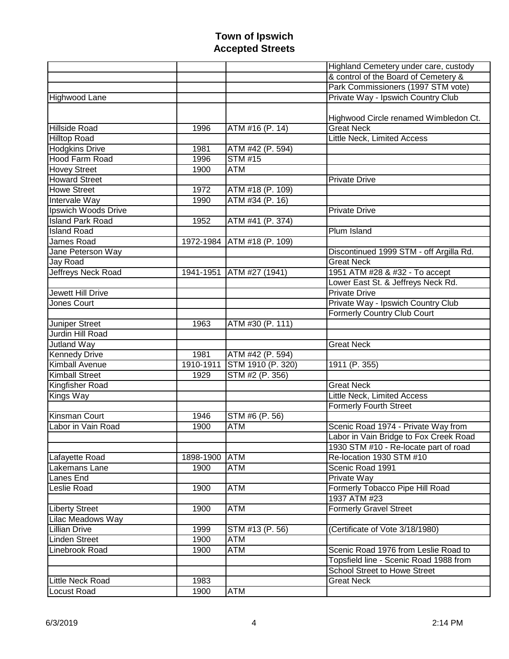|                         |           |                               | Highland Cemetery under care, custody   |
|-------------------------|-----------|-------------------------------|-----------------------------------------|
|                         |           |                               | & control of the Board of Cemetery &    |
|                         |           |                               | Park Commissioners (1997 STM vote)      |
| Highwood Lane           |           |                               | Private Way - Ipswich Country Club      |
|                         |           |                               |                                         |
|                         |           |                               | Highwood Circle renamed Wimbledon Ct.   |
| <b>Hillside Road</b>    | 1996      | $\overline{ATM \#16}$ (P. 14) | <b>Great Neck</b>                       |
| <b>Hilltop Road</b>     |           |                               | Little Neck, Limited Access             |
| <b>Hodgkins Drive</b>   | 1981      | ATM #42 (P. 594)              |                                         |
| <b>Hood Farm Road</b>   | 1996      | <b>STM #15</b>                |                                         |
| <b>Hovey Street</b>     | 1900      | <b>ATM</b>                    |                                         |
| <b>Howard Street</b>    |           |                               | <b>Private Drive</b>                    |
| <b>Howe Street</b>      | 1972      | ATM #18 (P. 109)              |                                         |
| Intervale Way           | 1990      | ATM #34 (P. 16)               |                                         |
| Ipswich Woods Drive     |           |                               | <b>Private Drive</b>                    |
| <b>Island Park Road</b> | 1952      | ATM #41 (P. 374)              |                                         |
| <b>Island Road</b>      |           |                               | Plum Island                             |
| James Road              |           | 1972-1984 ATM #18 (P. 109)    |                                         |
| Jane Peterson Way       |           |                               | Discontinued 1999 STM - off Argilla Rd. |
| Jay Road                |           |                               | <b>Great Neck</b>                       |
| Jeffreys Neck Road      | 1941-1951 | ATM #27 (1941)                | 1951 ATM #28 & #32 - To accept          |
|                         |           |                               | Lower East St. & Jeffreys Neck Rd.      |
| Jewett Hill Drive       |           |                               | <b>Private Drive</b>                    |
| Jones Court             |           |                               | Private Way - Ipswich Country Club      |
|                         |           |                               | <b>Formerly Country Club Court</b>      |
| Juniper Street          | 1963      | ATM #30 (P. 111)              |                                         |
| Jurdin Hill Road        |           |                               |                                         |
| Jutland Way             |           |                               | <b>Great Neck</b>                       |
| <b>Kennedy Drive</b>    | 1981      | ATM #42 (P. 594)              |                                         |
| <b>Kimball Avenue</b>   | 1910-1911 | STM 1910 (P. 320)             | 1911 (P. 355)                           |
| <b>Kimball Street</b>   | 1929      | STM #2 (P. 356)               |                                         |
| <b>Kingfisher Road</b>  |           |                               | <b>Great Neck</b>                       |
| Kings Way               |           |                               | <b>Little Neck, Limited Access</b>      |
|                         |           |                               | <b>Formerly Fourth Street</b>           |
| <b>Kinsman Court</b>    | 1946      | STM #6 (P. 56)                |                                         |
| Labor in Vain Road      | 1900      | ATM                           | Scenic Road 1974 - Private Way from     |
|                         |           |                               | Labor in Vain Bridge to Fox Creek Road  |
|                         |           |                               | 1930 STM #10 - Re-locate part of road   |
| Lafayette Road          | 1898-1900 | <b>ATM</b>                    | Re-location 1930 STM #10                |
| Lakemans Lane           | 1900      | ATM                           | Scenic Road 1991                        |
| Lanes End               |           |                               | Private Way                             |
| Leslie Road             | 1900      | <b>ATM</b>                    | Formerly Tobacco Pipe Hill Road         |
|                         |           |                               | 1937 ATM #23                            |
| <b>Liberty Street</b>   | 1900      | ATM                           | <b>Formerly Gravel Street</b>           |
| Lilac Meadows Way       |           |                               |                                         |
| <b>Lillian Drive</b>    | 1999      | STM #13 (P. 56)               | (Certificate of Vote 3/18/1980)         |
| <b>Linden Street</b>    | 1900      | <b>ATM</b>                    |                                         |
| Linebrook Road          | 1900      | ATM                           | Scenic Road 1976 from Leslie Road to    |
|                         |           |                               | Topsfield line - Scenic Road 1988 from  |
|                         |           |                               | <b>School Street to Howe Street</b>     |
| <b>Little Neck Road</b> | 1983      |                               | <b>Great Neck</b>                       |
| <b>Locust Road</b>      | 1900      | ATM                           |                                         |
|                         |           |                               |                                         |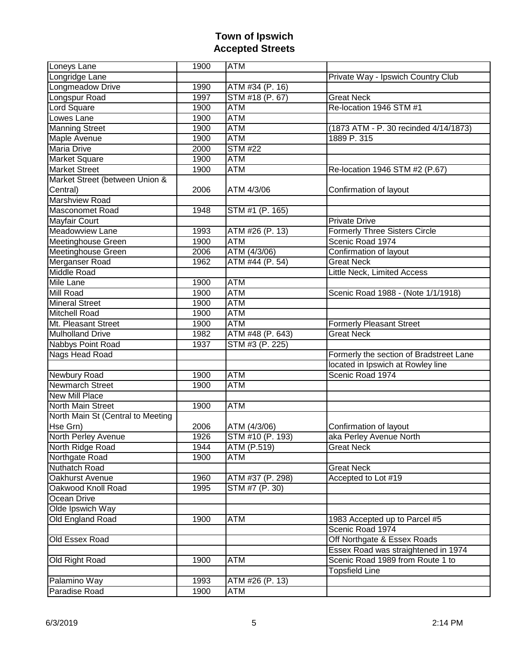| Loneys Lane                       | 1900 | <b>ATM</b>       |                                         |
|-----------------------------------|------|------------------|-----------------------------------------|
| Longridge Lane                    |      |                  | Private Way - Ipswich Country Club      |
| Longmeadow Drive                  | 1990 | ATM #34 (P. 16)  |                                         |
| Longspur Road                     | 1997 | STM #18 (P. 67)  | <b>Great Neck</b>                       |
| <b>Lord Square</b>                | 1900 | <b>ATM</b>       | Re-location 1946 STM #1                 |
| Lowes Lane                        | 1900 | <b>ATM</b>       |                                         |
| <b>Manning Street</b>             | 1900 | <b>ATM</b>       | (1873 ATM - P. 30 recinded 4/14/1873)   |
| Maple Avenue                      | 1900 | <b>ATM</b>       | 1889 P. 315                             |
| <b>Maria Drive</b>                | 2000 | <b>STM #22</b>   |                                         |
| <b>Market Square</b>              | 1900 | <b>ATM</b>       |                                         |
| <b>Market Street</b>              | 1900 | <b>ATM</b>       | Re-location 1946 STM #2 (P.67)          |
| Market Street (between Union &    |      |                  |                                         |
| Central)                          | 2006 | ATM 4/3/06       | Confirmation of layout                  |
| <b>Marshview Road</b>             |      |                  |                                         |
| <b>Masconomet Road</b>            | 1948 | STM #1 (P. 165)  |                                         |
| <b>Mayfair Court</b>              |      |                  | <b>Private Drive</b>                    |
| Meadowview Lane                   | 1993 | ATM #26 (P. 13)  | <b>Formerly Three Sisters Circle</b>    |
| Meetinghouse Green                | 1900 | <b>ATM</b>       | Scenic Road 1974                        |
| <b>Meetinghouse Green</b>         | 2006 | ATM (4/3/06)     | Confirmation of layout                  |
| Merganser Road                    | 1962 | ATM #44 (P. 54)  | <b>Great Neck</b>                       |
| <b>Middle Road</b>                |      |                  | Little Neck, Limited Access             |
| <b>Mile Lane</b>                  | 1900 | <b>ATM</b>       |                                         |
| Mill Road                         | 1900 | <b>ATM</b>       | Scenic Road 1988 - (Note 1/1/1918)      |
| <b>Mineral Street</b>             | 1900 | <b>ATM</b>       |                                         |
| <b>Mitchell Road</b>              | 1900 | <b>ATM</b>       |                                         |
| Mt. Pleasant Street               | 1900 | <b>ATM</b>       | <b>Formerly Pleasant Street</b>         |
| <b>Mulholland Drive</b>           | 1982 | ATM #48 (P. 643) | <b>Great Neck</b>                       |
| Nabbys Point Road                 | 1937 | STM #3 (P. 225)  |                                         |
| Nags Head Road                    |      |                  | Formerly the section of Bradstreet Lane |
|                                   |      |                  | located in Ipswich at Rowley line       |
| Newbury Road                      | 1900 | <b>ATM</b>       | Scenic Road 1974                        |
| Newmarch Street                   | 1900 | <b>ATM</b>       |                                         |
| <b>New Mill Place</b>             |      |                  |                                         |
| <b>North Main Street</b>          | 1900 | <b>ATM</b>       |                                         |
| North Main St (Central to Meeting |      |                  |                                         |
| Hse Grn)                          | 2006 | ATM (4/3/06)     | Confirmation of layout                  |
| North Perley Avenue               | 1926 | STM #10 (P. 193) | aka Perley Avenue North                 |
| North Ridge Road                  | 1944 | ATM (P.519)      | <b>Great Neck</b>                       |
| Northgate Road                    | 1900 | <b>ATM</b>       |                                         |
| Nuthatch Road                     |      |                  | <b>Great Neck</b>                       |
| Oakhurst Avenue                   | 1960 | ATM #37 (P. 298) | Accepted to Lot #19                     |
| Oakwood Knoll Road                | 1995 | STM #7 (P. 30)   |                                         |
| Ocean Drive                       |      |                  |                                         |
| Olde Ipswich Way                  |      |                  |                                         |
| Old England Road                  | 1900 | <b>ATM</b>       | 1983 Accepted up to Parcel #5           |
|                                   |      |                  | Scenic Road 1974                        |
| Old Essex Road                    |      |                  | Off Northgate & Essex Roads             |
|                                   |      |                  | Essex Road was straightened in 1974     |
| Old Right Road                    | 1900 | <b>ATM</b>       | Scenic Road 1989 from Route 1 to        |
|                                   |      |                  | <b>Topsfield Line</b>                   |
| Palamino Way                      | 1993 | ATM #26 (P. 13)  |                                         |
| Paradise Road                     | 1900 | <b>ATM</b>       |                                         |
|                                   |      |                  |                                         |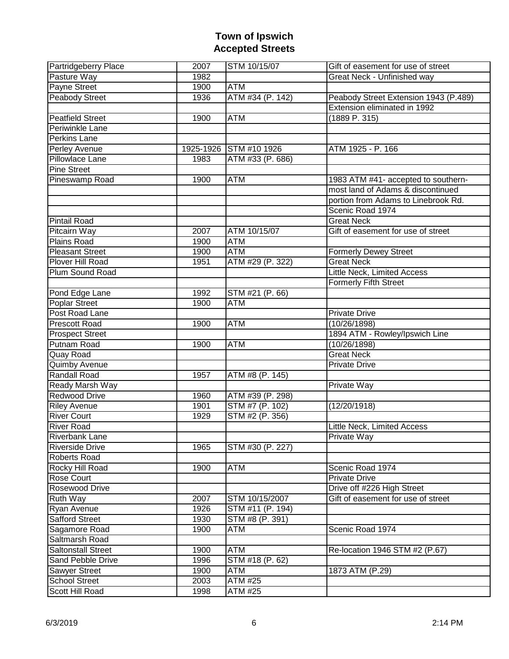| <b>Partridgeberry Place</b> | 2007 | STM 10/15/07                  | Gift of easement for use of street    |
|-----------------------------|------|-------------------------------|---------------------------------------|
| Pasture Way                 | 1982 |                               | Great Neck - Unfinished way           |
| Payne Street                | 1900 | <b>ATM</b>                    |                                       |
| Peabody Street              | 1936 | $\overline{ATM $ #34 (P. 142) | Peabody Street Extension 1943 (P.489) |
|                             |      |                               | Extension eliminated in 1992          |
| <b>Peatfield Street</b>     | 1900 | ATM                           | (1889 P. 315)                         |
| Periwinkle Lane             |      |                               |                                       |
| Perkins Lane                |      |                               |                                       |
| Perley Avenue               |      | 1925-1926 STM #10 1926        | ATM 1925 - P. 166                     |
| Pillowlace Lane             | 1983 | ATM #33 (P. 686)              |                                       |
| <b>Pine Street</b>          |      |                               |                                       |
| Pineswamp Road              | 1900 | <b>ATM</b>                    | 1983 ATM #41- accepted to southern-   |
|                             |      |                               | most land of Adams & discontinued     |
|                             |      |                               | portion from Adams to Linebrook Rd.   |
|                             |      |                               | Scenic Road 1974                      |
| <b>Pintail Road</b>         |      |                               | <b>Great Neck</b>                     |
| Pitcairn Way                | 2007 | ATM 10/15/07                  | Gift of easement for use of street    |
| Plains Road                 | 1900 | <b>ATM</b>                    |                                       |
| <b>Pleasant Street</b>      | 1900 | <b>ATM</b>                    | <b>Formerly Dewey Street</b>          |
| Plover Hill Road            | 1951 | ATM #29 (P. 322)              | <b>Great Neck</b>                     |
| Plum Sound Road             |      |                               | Little Neck, Limited Access           |
|                             |      |                               | <b>Formerly Fifth Street</b>          |
| Pond Edge Lane              | 1992 | STM #21 (P. 66)               |                                       |
| Poplar Street               | 1900 | <b>ATM</b>                    |                                       |
| Post Road Lane              |      |                               | <b>Private Drive</b>                  |
| Prescott Road               | 1900 | <b>ATM</b>                    | (10/26/1898)                          |
| <b>Prospect Street</b>      |      |                               | 1894 ATM - Rowley/Ipswich Line        |
| Putnam Road                 | 1900 | <b>ATM</b>                    | (10/26/1898)                          |
| Quay Road                   |      |                               | <b>Great Neck</b>                     |
| Quimby Avenue               |      |                               | <b>Private Drive</b>                  |
| <b>Randall Road</b>         | 1957 | ATM #8 (P. 145)               |                                       |
| <b>Ready Marsh Way</b>      |      |                               | <b>Private Way</b>                    |
| <b>Redwood Drive</b>        | 1960 | ATM #39 (P. 298)              |                                       |
| <b>Riley Avenue</b>         | 1901 | STM #7 (P. 102)               | (12/20/1918)                          |
| <b>River Court</b>          | 1929 | STM #2 (P. 356)               |                                       |
| <b>River Road</b>           |      |                               | Little Neck, Limited Access           |
| <b>Riverbank Lane</b>       |      |                               | <b>Private Way</b>                    |
| <b>Riverside Drive</b>      | 1965 | STM #30 (P. 227)              |                                       |
| Roberts Road                |      |                               |                                       |
| Rocky Hill Road             | 1900 | ATM                           | Scenic Road 1974                      |
| Rose Court                  |      |                               | <b>Private Drive</b>                  |
| Rosewood Drive              |      |                               | Drive off #226 High Street            |
| Ruth Way                    | 2007 | STM 10/15/2007                | Gift of easement for use of street    |
| Ryan Avenue                 | 1926 | STM #11 (P. 194)              |                                       |
| <b>Safford Street</b>       | 1930 | STM #8 (P. 391)               |                                       |
| Sagamore Road               | 1900 | ATM                           | Scenic Road 1974                      |
| Saltmarsh Road              |      |                               |                                       |
| <b>Saltonstall Street</b>   | 1900 | <b>ATM</b>                    | Re-location 1946 STM #2 (P.67)        |
| Sand Pebble Drive           | 1996 | STM #18 (P. 62)               |                                       |
| Sawyer Street               | 1900 | ATM                           | 1873 ATM (P.29)                       |
| <b>School Street</b>        | 2003 | ATM #25                       |                                       |
| Scott Hill Road             | 1998 | ATM #25                       |                                       |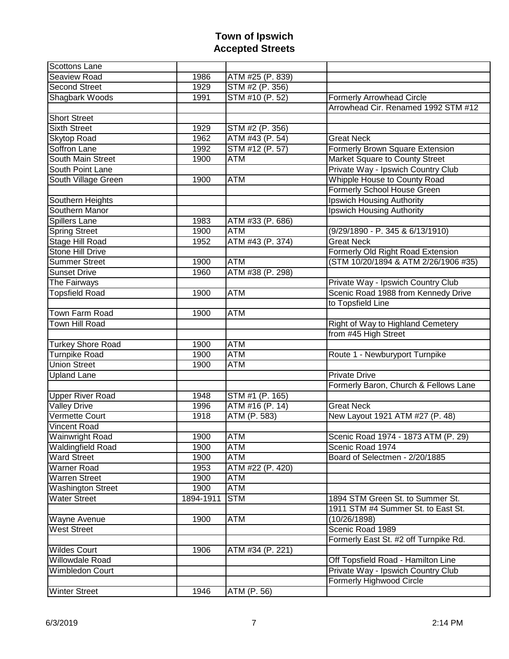| Scottons Lane            |           |                  |                                       |
|--------------------------|-----------|------------------|---------------------------------------|
| Seaview Road             | 1986      | ATM #25 (P. 839) |                                       |
| <b>Second Street</b>     | 1929      | STM #2 (P. 356)  |                                       |
| Shagbark Woods           | 1991      | STM #10 (P. 52)  | <b>Formerly Arrowhead Circle</b>      |
|                          |           |                  | Arrowhead Cir. Renamed 1992 STM #12   |
| <b>Short Street</b>      |           |                  |                                       |
| <b>Sixth Street</b>      | 1929      | STM #2 (P. 356)  |                                       |
| <b>Skytop Road</b>       | 1962      | ATM #43 (P. 54)  | <b>Great Neck</b>                     |
| Soffron Lane             | 1992      | STM #12 (P. 57)  | Formerly Brown Square Extension       |
| South Main Street        | 1900      | <b>ATM</b>       | Market Square to County Street        |
| South Point Lane         |           |                  | Private Way - Ipswich Country Club    |
| South Village Green      | 1900      | <b>ATM</b>       | Whipple House to County Road          |
|                          |           |                  | <b>Formerly School House Green</b>    |
| Southern Heights         |           |                  | Ipswich Housing Authority             |
| Southern Manor           |           |                  | Ipswich Housing Authority             |
| Spillers Lane            | 1983      | ATM #33 (P. 686) |                                       |
| <b>Spring Street</b>     | 1900      | <b>ATM</b>       | (9/29/1890 - P. 345 & 6/13/1910)      |
| <b>Stage Hill Road</b>   | 1952      | ATM #43 (P. 374) | <b>Great Neck</b>                     |
| <b>Stone Hill Drive</b>  |           |                  | Formerly Old Right Road Extension     |
| <b>Summer Street</b>     | 1900      | <b>ATM</b>       | (STM 10/20/1894 & ATM 2/26/1906 #35)  |
| <b>Sunset Drive</b>      | 1960      | ATM #38 (P. 298) |                                       |
| The Fairways             |           |                  | Private Way - Ipswich Country Club    |
| <b>Topsfield Road</b>    | 1900      | <b>ATM</b>       | Scenic Road 1988 from Kennedy Drive   |
|                          |           |                  | to Topsfield Line                     |
| Town Farm Road           | 1900      | <b>ATM</b>       |                                       |
| Town Hill Road           |           |                  | Right of Way to Highland Cemetery     |
|                          |           |                  | from #45 High Street                  |
| <b>Turkey Shore Road</b> | 1900      | <b>ATM</b>       |                                       |
| <b>Turnpike Road</b>     | 1900      | <b>ATM</b>       | Route 1 - Newburyport Turnpike        |
| <b>Union Street</b>      | 1900      | <b>ATM</b>       |                                       |
| <b>Upland Lane</b>       |           |                  | <b>Private Drive</b>                  |
|                          |           |                  | Formerly Baron, Church & Fellows Lane |
| <b>Upper River Road</b>  | 1948      | STM #1 (P. 165)  |                                       |
| <b>Valley Drive</b>      | 1996      | ATM #16 (P. 14)  | <b>Great Neck</b>                     |
| <b>Vermette Court</b>    | 1918      | ATM (P. 583)     | New Layout 1921 ATM #27 (P. 48)       |
| <b>Vincent Road</b>      |           |                  |                                       |
| <b>Wainwright Road</b>   | 1900      | ATM              | Scenic Road 1974 - 1873 ATM (P. 29)   |
| <b>Waldingfield Road</b> | 1900      | ATM              | Scenic Road 1974                      |
| <b>Ward Street</b>       | 1900      | <b>ATM</b>       | Board of Selectmen - 2/20/1885        |
| <b>Warner Road</b>       | 1953      | ATM #22 (P. 420) |                                       |
| <b>Warren Street</b>     | 1900      | <b>ATM</b>       |                                       |
| <b>Washington Street</b> | 1900      | <b>ATM</b>       |                                       |
| <b>Water Street</b>      | 1894-1911 | <b>STM</b>       | 1894 STM Green St. to Summer St.      |
|                          |           |                  | 1911 STM #4 Summer St. to East St.    |
| Wayne Avenue             | 1900      | <b>ATM</b>       | (10/26/1898)                          |
| <b>West Street</b>       |           |                  | Scenic Road 1989                      |
|                          |           |                  | Formerly East St. #2 off Turnpike Rd. |
| <b>Wildes Court</b>      | 1906      | ATM #34 (P. 221) |                                       |
| Willowdale Road          |           |                  | Off Topsfield Road - Hamilton Line    |
| Wimbledon Court          |           |                  | Private Way - Ipswich Country Club    |
|                          |           |                  | Formerly Highwood Circle              |
| <b>Winter Street</b>     | 1946      | ATM (P. 56)      |                                       |
|                          |           |                  |                                       |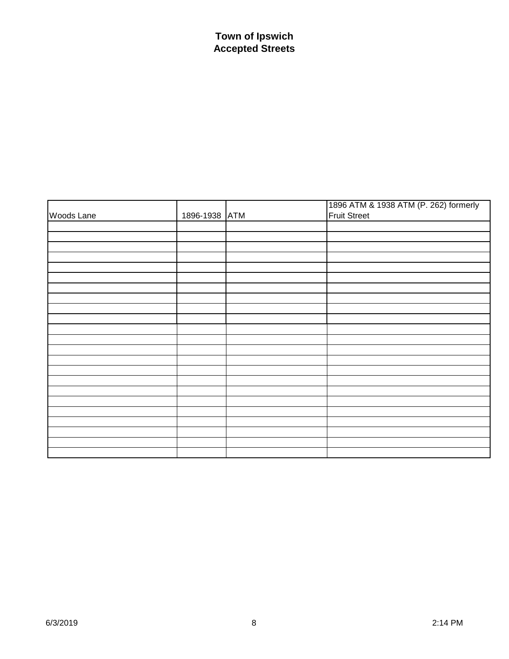| Woods Lane | 1896-1938 ATM | 1896 ATM & 1938 ATM (P. 262) formerly<br>Fruit Street |
|------------|---------------|-------------------------------------------------------|
|            |               |                                                       |
|            |               |                                                       |
|            |               |                                                       |
|            |               |                                                       |
|            |               |                                                       |
|            |               |                                                       |
|            |               |                                                       |
|            |               |                                                       |
|            |               |                                                       |
|            |               |                                                       |
|            |               |                                                       |
|            |               |                                                       |
|            |               |                                                       |
|            |               |                                                       |
|            |               |                                                       |
|            |               |                                                       |
|            |               |                                                       |
|            |               |                                                       |
|            |               |                                                       |
|            |               |                                                       |
|            |               |                                                       |
|            |               |                                                       |
|            |               |                                                       |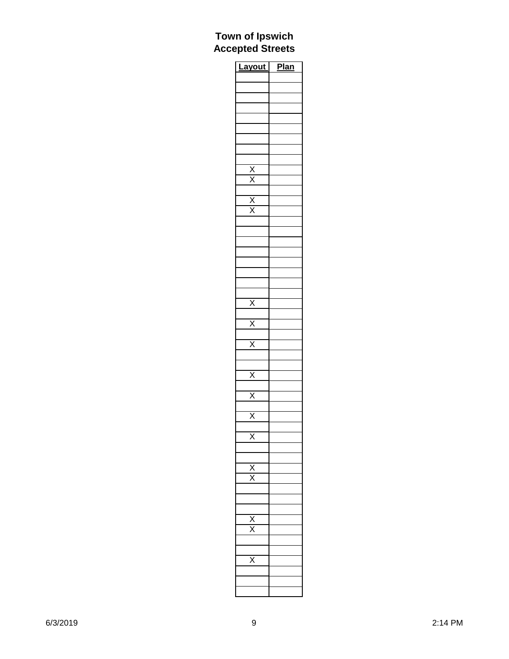| <b>Layout</b>                       | <b>Plan</b> |
|-------------------------------------|-------------|
|                                     |             |
|                                     |             |
|                                     |             |
|                                     |             |
|                                     |             |
|                                     |             |
|                                     |             |
|                                     |             |
|                                     |             |
|                                     |             |
| $\frac{\overline{X}}{\overline{X}}$ |             |
|                                     |             |
|                                     |             |
|                                     |             |
|                                     |             |
|                                     |             |
|                                     |             |
|                                     |             |
|                                     |             |
|                                     |             |
|                                     |             |
| $\overline{X}$                      |             |
|                                     |             |
| $\frac{\overline{x}}{}$             |             |
| $\overline{x}$                      |             |
|                                     |             |
|                                     |             |
| $\overline{X}$                      |             |
|                                     |             |
| $\overline{X}$                      |             |
|                                     |             |
| $\overline{\mathsf{x}}$             |             |
|                                     |             |
|                                     |             |
|                                     |             |
|                                     |             |
| $\frac{\overline{x}}{\overline{x}}$ |             |
|                                     |             |
|                                     |             |
|                                     |             |
|                                     |             |
| $\frac{\mathsf{x}}{\mathsf{x}}$     |             |
|                                     |             |
|                                     |             |
| $\overline{\mathsf{x}}$             |             |
|                                     |             |
|                                     |             |
|                                     |             |
|                                     |             |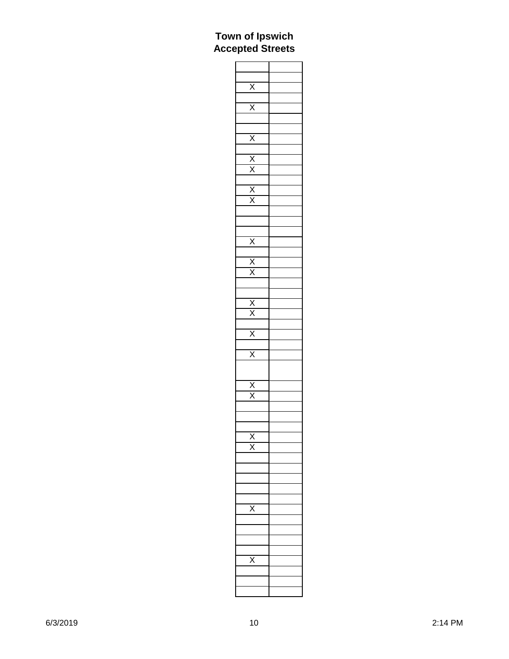| $rac{X}{X}$                                                                       |  |
|-----------------------------------------------------------------------------------|--|
|                                                                                   |  |
|                                                                                   |  |
|                                                                                   |  |
|                                                                                   |  |
|                                                                                   |  |
|                                                                                   |  |
|                                                                                   |  |
|                                                                                   |  |
|                                                                                   |  |
|                                                                                   |  |
|                                                                                   |  |
|                                                                                   |  |
| $\begin{array}{c c}\n\times \\ \times \\ \times \\ \times \\ \times\n\end{array}$ |  |
|                                                                                   |  |
|                                                                                   |  |
|                                                                                   |  |
|                                                                                   |  |
|                                                                                   |  |
|                                                                                   |  |
|                                                                                   |  |
|                                                                                   |  |
| $\frac{\overline{X}}{X}$                                                          |  |
|                                                                                   |  |
|                                                                                   |  |
| $\frac{\overline{x}}{\overline{x}}$                                               |  |
|                                                                                   |  |
|                                                                                   |  |
|                                                                                   |  |
|                                                                                   |  |
|                                                                                   |  |
|                                                                                   |  |
|                                                                                   |  |
|                                                                                   |  |
|                                                                                   |  |
|                                                                                   |  |
|                                                                                   |  |
|                                                                                   |  |
| $\frac{X}{X}$ $\frac{X}{X}$                                                       |  |
|                                                                                   |  |
|                                                                                   |  |
|                                                                                   |  |
|                                                                                   |  |
| $\frac{\overline{x}}{\overline{x}}$                                               |  |
|                                                                                   |  |
|                                                                                   |  |
|                                                                                   |  |
|                                                                                   |  |
|                                                                                   |  |
|                                                                                   |  |
|                                                                                   |  |
|                                                                                   |  |
|                                                                                   |  |
|                                                                                   |  |
|                                                                                   |  |
|                                                                                   |  |
|                                                                                   |  |
|                                                                                   |  |
|                                                                                   |  |
|                                                                                   |  |
|                                                                                   |  |
|                                                                                   |  |
|                                                                                   |  |
|                                                                                   |  |
|                                                                                   |  |
|                                                                                   |  |
|                                                                                   |  |
|                                                                                   |  |
|                                                                                   |  |
|                                                                                   |  |
|                                                                                   |  |
|                                                                                   |  |
|                                                                                   |  |
|                                                                                   |  |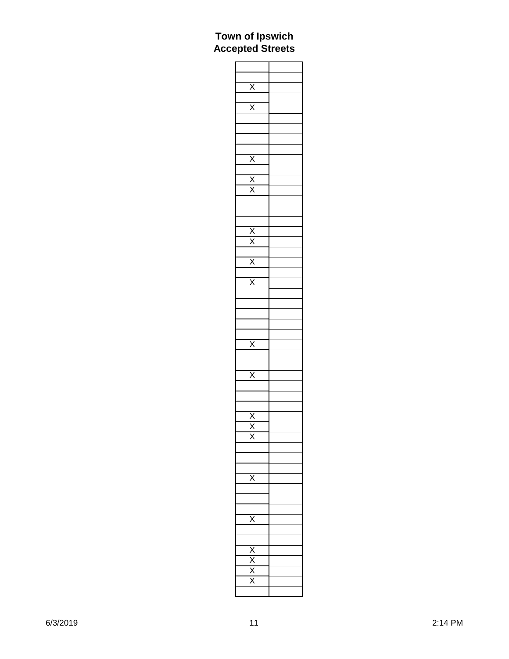| $rac{X}{X}$                                                                           |  |
|---------------------------------------------------------------------------------------|--|
|                                                                                       |  |
|                                                                                       |  |
|                                                                                       |  |
|                                                                                       |  |
|                                                                                       |  |
|                                                                                       |  |
|                                                                                       |  |
| $\frac{\overline{x}}{\overline{x}}$                                                   |  |
|                                                                                       |  |
|                                                                                       |  |
|                                                                                       |  |
|                                                                                       |  |
|                                                                                       |  |
|                                                                                       |  |
|                                                                                       |  |
|                                                                                       |  |
|                                                                                       |  |
|                                                                                       |  |
|                                                                                       |  |
| $\begin{array}{c} \hline x \\ \hline x \\ \hline x \\ \hline x \\ \hline \end{array}$ |  |
|                                                                                       |  |
|                                                                                       |  |
|                                                                                       |  |
|                                                                                       |  |
|                                                                                       |  |
|                                                                                       |  |
| $\overline{\mathsf{x}}$                                                               |  |
|                                                                                       |  |
|                                                                                       |  |
| $\overline{\mathsf{x}}$                                                               |  |
|                                                                                       |  |
|                                                                                       |  |
|                                                                                       |  |
|                                                                                       |  |
| $\frac{\overline{x}}{\overline{x}}$                                                   |  |
|                                                                                       |  |
| X                                                                                     |  |
|                                                                                       |  |
|                                                                                       |  |
|                                                                                       |  |
| х                                                                                     |  |
|                                                                                       |  |
|                                                                                       |  |
|                                                                                       |  |
|                                                                                       |  |
|                                                                                       |  |
|                                                                                       |  |
|                                                                                       |  |
|                                                                                       |  |
| $\frac{X}{X}$                                                                         |  |
|                                                                                       |  |
|                                                                                       |  |
|                                                                                       |  |
|                                                                                       |  |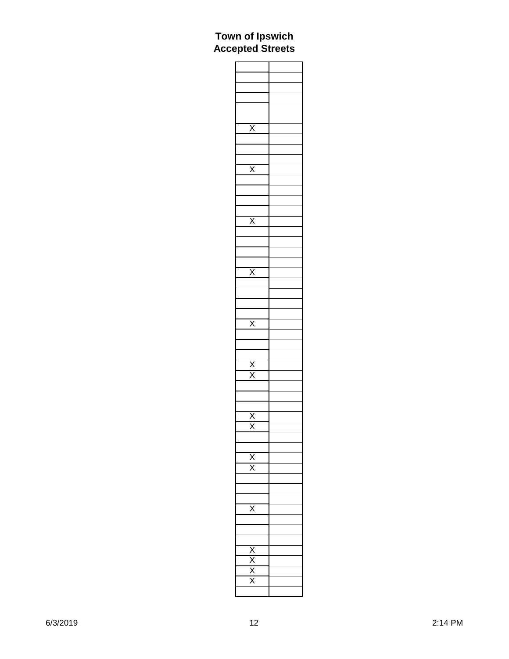| $\overline{\mathsf{x}}$             |  |
|-------------------------------------|--|
|                                     |  |
|                                     |  |
|                                     |  |
|                                     |  |
| $\overline{\mathsf{x}}$             |  |
|                                     |  |
|                                     |  |
|                                     |  |
|                                     |  |
|                                     |  |
|                                     |  |
| $\bar{\mathsf{x}}$                  |  |
|                                     |  |
|                                     |  |
|                                     |  |
|                                     |  |
|                                     |  |
|                                     |  |
| $\overline{\mathsf{x}}$             |  |
|                                     |  |
|                                     |  |
|                                     |  |
|                                     |  |
|                                     |  |
| $\overline{\mathsf{X}}$             |  |
|                                     |  |
|                                     |  |
|                                     |  |
|                                     |  |
|                                     |  |
|                                     |  |
|                                     |  |
| $\frac{\overline{X}}{\overline{X}}$ |  |
|                                     |  |
|                                     |  |
|                                     |  |
|                                     |  |
|                                     |  |
|                                     |  |
| $\frac{\overline{x}}{\overline{x}}$ |  |
|                                     |  |
|                                     |  |
|                                     |  |
|                                     |  |
| $\frac{\overline{x}}{\overline{x}}$ |  |
|                                     |  |
|                                     |  |
|                                     |  |
|                                     |  |
| $\overline{\mathsf{x}}$             |  |
|                                     |  |
|                                     |  |
|                                     |  |
|                                     |  |
|                                     |  |
|                                     |  |
|                                     |  |
|                                     |  |
|                                     |  |
| $\frac{X}{X}$                       |  |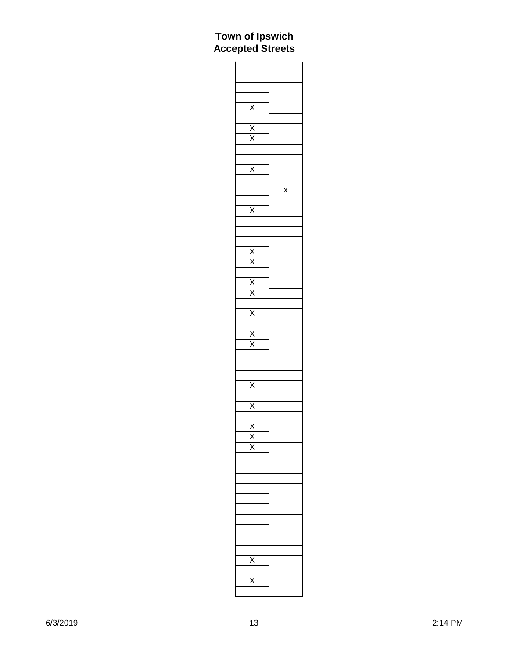| $\frac{\overline{X}}{\overline{X}}$                     |   |
|---------------------------------------------------------|---|
|                                                         |   |
|                                                         |   |
|                                                         |   |
|                                                         |   |
|                                                         |   |
| $\overline{\mathsf{x}}$                                 |   |
|                                                         | X |
|                                                         |   |
| $\overline{\mathsf{x}}$                                 |   |
|                                                         |   |
|                                                         |   |
|                                                         |   |
| $\frac{X}{X}$ $\frac{X}{X}$ $\frac{X}{X}$ $\frac{X}{X}$ |   |
|                                                         |   |
|                                                         |   |
|                                                         |   |
|                                                         |   |
|                                                         |   |
|                                                         |   |
|                                                         |   |
|                                                         |   |
|                                                         |   |
|                                                         |   |
|                                                         |   |
|                                                         |   |
|                                                         |   |
|                                                         |   |
| $\frac{\overline{x}}{\overline{x}}$                     |   |
|                                                         |   |
|                                                         |   |
|                                                         |   |
|                                                         |   |
|                                                         |   |
|                                                         |   |
|                                                         |   |
|                                                         |   |
|                                                         |   |
|                                                         |   |
|                                                         |   |
|                                                         |   |
|                                                         |   |
|                                                         |   |
|                                                         |   |
| Κ                                                       |   |
|                                                         |   |
|                                                         |   |
|                                                         |   |
|                                                         |   |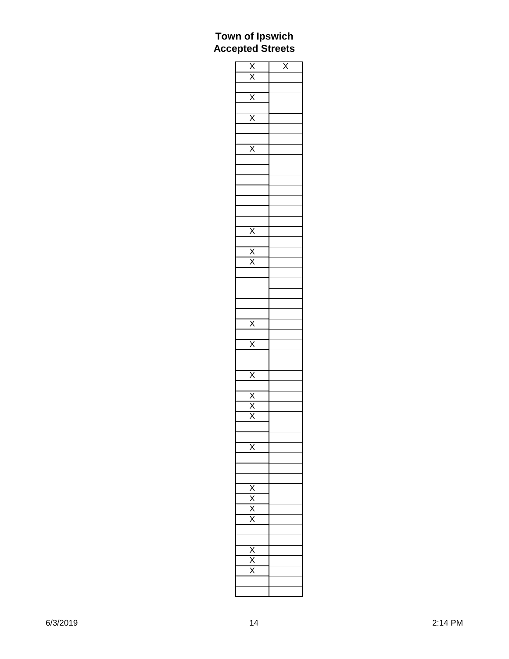|                                                                                                             | $\overline{\mathsf{x}}$ |
|-------------------------------------------------------------------------------------------------------------|-------------------------|
| $\frac{\overline{X}}{\overline{X}}$ $\frac{\overline{X}}{\overline{X}}$ $\frac{\overline{X}}{\overline{X}}$ |                         |
|                                                                                                             |                         |
|                                                                                                             |                         |
|                                                                                                             |                         |
|                                                                                                             |                         |
|                                                                                                             |                         |
|                                                                                                             |                         |
|                                                                                                             |                         |
|                                                                                                             |                         |
|                                                                                                             |                         |
|                                                                                                             |                         |
|                                                                                                             |                         |
|                                                                                                             |                         |
| $\overline{\mathsf{x}}$                                                                                     |                         |
|                                                                                                             |                         |
|                                                                                                             |                         |
|                                                                                                             |                         |
|                                                                                                             |                         |
|                                                                                                             |                         |
|                                                                                                             |                         |
|                                                                                                             |                         |
|                                                                                                             |                         |
|                                                                                                             |                         |
|                                                                                                             |                         |
|                                                                                                             |                         |
|                                                                                                             |                         |
|                                                                                                             |                         |
|                                                                                                             |                         |
|                                                                                                             |                         |
|                                                                                                             |                         |
|                                                                                                             |                         |
|                                                                                                             |                         |
|                                                                                                             |                         |
| $\frac{\overline{X}}{\overline{X}}$                                                                         |                         |
|                                                                                                             |                         |
|                                                                                                             |                         |
|                                                                                                             |                         |
|                                                                                                             |                         |
|                                                                                                             |                         |
|                                                                                                             |                         |
|                                                                                                             |                         |
|                                                                                                             |                         |
|                                                                                                             |                         |
|                                                                                                             |                         |
|                                                                                                             |                         |
| $\frac{\overline{X}}{\overline{X}}$                                                                         |                         |
|                                                                                                             |                         |
|                                                                                                             |                         |
|                                                                                                             |                         |
|                                                                                                             |                         |
|                                                                                                             |                         |
|                                                                                                             |                         |
|                                                                                                             |                         |
|                                                                                                             |                         |
|                                                                                                             |                         |
|                                                                                                             |                         |
| $\frac{x}{x}}{x}$                                                                                           |                         |
|                                                                                                             |                         |
|                                                                                                             |                         |
|                                                                                                             |                         |
|                                                                                                             |                         |
|                                                                                                             |                         |
|                                                                                                             |                         |
|                                                                                                             |                         |
|                                                                                                             |                         |
|                                                                                                             |                         |
|                                                                                                             |                         |
|                                                                                                             |                         |
|                                                                                                             |                         |
|                                                                                                             |                         |
|                                                                                                             |                         |
|                                                                                                             |                         |
|                                                                                                             |                         |
|                                                                                                             |                         |
|                                                                                                             |                         |
|                                                                                                             |                         |
| $\frac{X}{X}$                                                                                               |                         |
|                                                                                                             |                         |
|                                                                                                             |                         |
|                                                                                                             |                         |
|                                                                                                             |                         |
|                                                                                                             |                         |
|                                                                                                             |                         |
|                                                                                                             |                         |
|                                                                                                             |                         |
| $\frac{\overline{X}}{\overline{X}}$                                                                         |                         |
|                                                                                                             |                         |
|                                                                                                             |                         |
|                                                                                                             |                         |
|                                                                                                             |                         |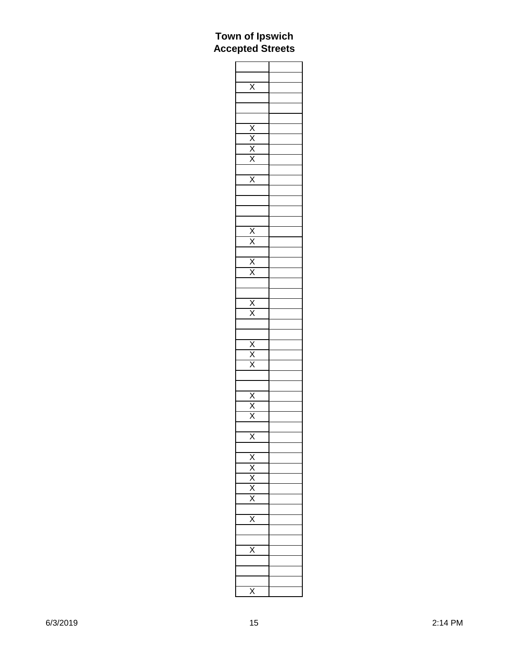| $\overline{\mathsf{X}}$             |  |
|-------------------------------------|--|
|                                     |  |
|                                     |  |
|                                     |  |
|                                     |  |
|                                     |  |
|                                     |  |
|                                     |  |
|                                     |  |
| $\frac{X}{X}$                       |  |
|                                     |  |
| $\overline{\mathsf{x}}$             |  |
|                                     |  |
|                                     |  |
|                                     |  |
|                                     |  |
|                                     |  |
|                                     |  |
|                                     |  |
|                                     |  |
|                                     |  |
| $\frac{X}{X}$ $\frac{X}{X}$         |  |
|                                     |  |
|                                     |  |
|                                     |  |
| $\frac{\overline{X}}{\overline{X}}$ |  |
|                                     |  |
|                                     |  |
|                                     |  |
|                                     |  |
| $\frac{\overline{x}}{\overline{x}}$ |  |
|                                     |  |
|                                     |  |
|                                     |  |
|                                     |  |
|                                     |  |
| $\frac{\overline{x}}{\overline{x}}$ |  |
|                                     |  |
|                                     |  |
|                                     |  |
|                                     |  |
| X                                   |  |
|                                     |  |
| $\frac{X}{X}$                       |  |
|                                     |  |
|                                     |  |
|                                     |  |
|                                     |  |
|                                     |  |
|                                     |  |
| $\bar{\bm{\mathsf{x}}}$             |  |
|                                     |  |
|                                     |  |
| $\overline{\mathsf{x}}$             |  |
|                                     |  |
|                                     |  |
|                                     |  |
|                                     |  |
| Χ                                   |  |
|                                     |  |